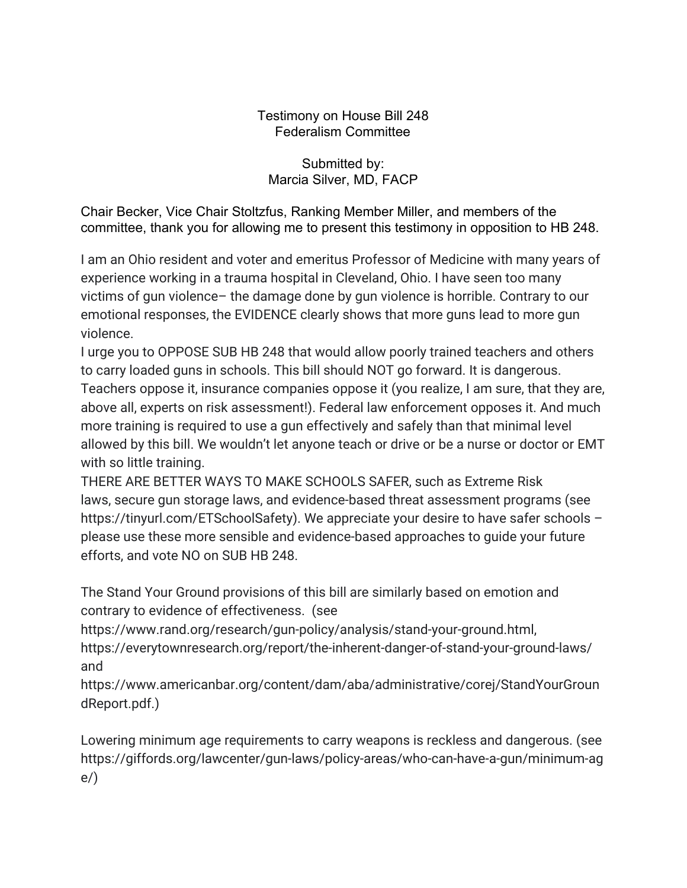## Testimony on House Bill 248 Federalism Committee

## Submitted by: Marcia Silver, MD, FACP

Chair Becker, Vice Chair Stoltzfus, Ranking Member Miller, and members of the committee, thank you for allowing me to present this testimony in opposition to HB 248.

I am an Ohio resident and voter and emeritus Professor of Medicine with many years of experience working in a trauma hospital in Cleveland, Ohio. I have seen too many victims of gun violence– the damage done by gun violence is horrible. Contrary to our emotional responses, the EVIDENCE clearly shows that more guns lead to more gun violence.

I urge you to OPPOSE SUB HB 248 that would allow poorly trained teachers and others to carry loaded guns in schools. This bill should NOT go forward. It is dangerous. Teachers oppose it, insurance companies oppose it (you realize, I am sure, that they are, above all, experts on risk assessment!). Federal law enforcement opposes it. And much more training is required to use a gun effectively and safely than that minimal level allowed by this bill. We wouldn't let anyone teach or drive or be a nurse or doctor or EMT with so little training.

THERE ARE BETTER WAYS TO MAKE SCHOOLS SAFER, such as Extreme Risk laws, secure gun storage laws, and evidence-based threat assessment programs (see https://tinyurl.com/ETSchoolSafety). We appreciate your desire to have safer schools please use these more sensible and evidence-based approaches to guide your future efforts, and vote NO on SUB HB 248.

The Stand Your Ground provisions of this bill are similarly based on emotion and contrary to evidence of effectiveness. (see

https://www.rand.org/research/gun-policy/analysis/stand-your-ground.html, https://everytownresearch.org/report/the-inherent-danger-of-stand-your-ground-laws/ and

https://www.americanbar.org/content/dam/aba/administrative/corej/StandYourGroun dReport.pdf.)

Lowering minimum age requirements to carry weapons is reckless and dangerous. (see https://giffords.org/lawcenter/gun-laws/policy-areas/who-can-have-a-gun/minimum-ag e/)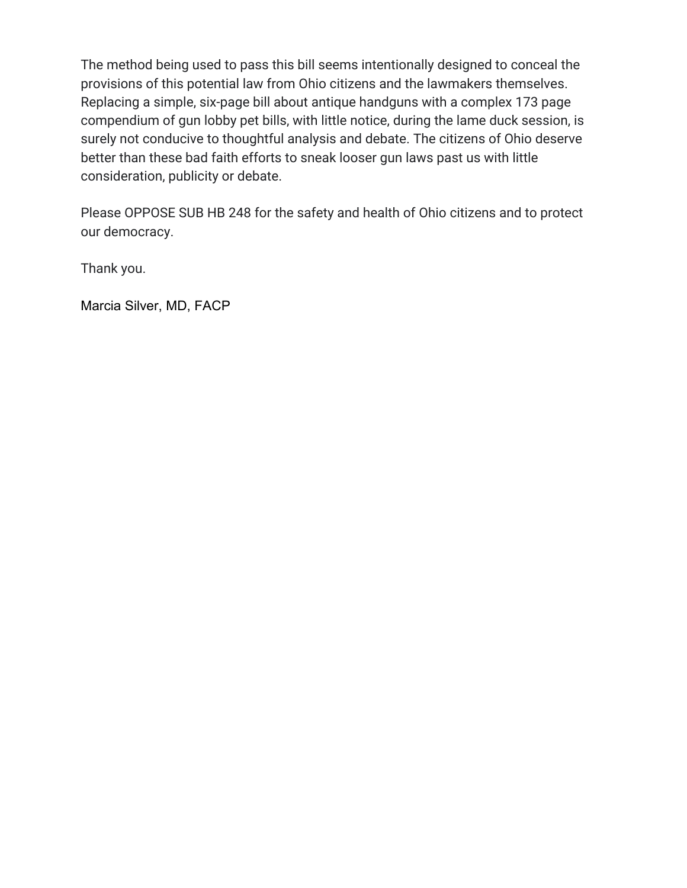The method being used to pass this bill seems intentionally designed to conceal the provisions of this potential law from Ohio citizens and the lawmakers themselves. Replacing a simple, six-page bill about antique handguns with a complex 173 page compendium of gun lobby pet bills, with little notice, during the lame duck session, is surely not conducive to thoughtful analysis and debate. The citizens of Ohio deserve better than these bad faith efforts to sneak looser gun laws past us with little consideration, publicity or debate.

Please OPPOSE SUB HB 248 for the safety and health of Ohio citizens and to protect our democracy.

Thank you.

Marcia Silver, MD, FACP